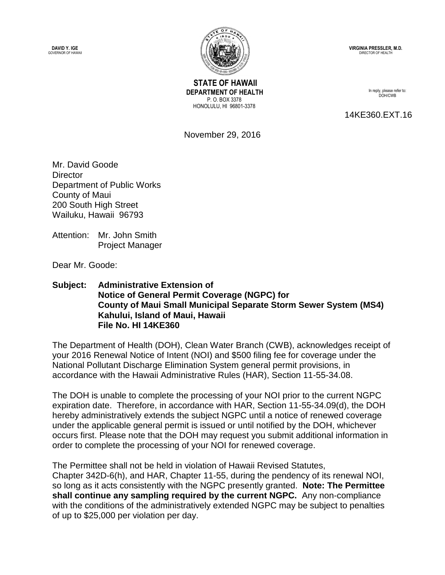**DAVID Y. IGE** GOVERNOR OF HAWAII



 **STATE OF HAWAII DEPARTMENT OF HEALTH** P. O. BOX 3378 HONOLULU, HI 96801-3378

**VIRGINIA PRESSLER, M.D.** DIRECTOR OF HEALTH

> In reply, please refer to: DOH/CWB

14KE360.EXT.16

November 29, 2016

Mr. David Goode **Director** Department of Public Works County of Maui 200 South High Street Wailuku, Hawaii 96793

Attention: Mr. John Smith Project Manager

Dear Mr. Goode:

## **Subject: Administrative Extension of Notice of General Permit Coverage (NGPC) for County of Maui Small Municipal Separate Storm Sewer System (MS4) Kahului, Island of Maui, Hawaii File No. HI 14KE360**

The Department of Health (DOH), Clean Water Branch (CWB), acknowledges receipt of your 2016 Renewal Notice of Intent (NOI) and \$500 filing fee for coverage under the National Pollutant Discharge Elimination System general permit provisions, in accordance with the Hawaii Administrative Rules (HAR), Section 11-55-34.08.

The DOH is unable to complete the processing of your NOI prior to the current NGPC expiration date. Therefore, in accordance with HAR, Section 11-55-34.09(d), the DOH hereby administratively extends the subject NGPC until a notice of renewed coverage under the applicable general permit is issued or until notified by the DOH, whichever occurs first. Please note that the DOH may request you submit additional information in order to complete the processing of your NOI for renewed coverage.

The Permittee shall not be held in violation of Hawaii Revised Statutes, Chapter 342D-6(h), and HAR, Chapter 11-55, during the pendency of its renewal NOI, so long as it acts consistently with the NGPC presently granted. **Note: The Permittee shall continue any sampling required by the current NGPC.** Any non-compliance with the conditions of the administratively extended NGPC may be subject to penalties of up to \$25,000 per violation per day.